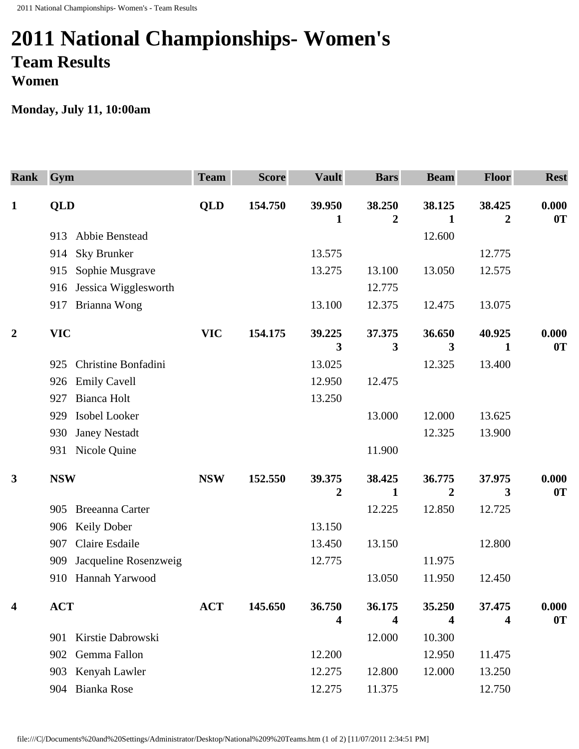## **2011 National Championships- Women's Team Results Women**

## **Monday, July 11, 10:00am**

| <b>Rank</b>      | Gym                           | <b>Team</b> | <b>Score</b> | <b>Vault</b>     | <b>Bars</b>      | <b>Beam</b>    | <b>Floor</b>   | <b>Rest</b> |
|------------------|-------------------------------|-------------|--------------|------------------|------------------|----------------|----------------|-------------|
| $\mathbf{1}$     | <b>QLD</b>                    | <b>QLD</b>  | 154.750      | 39.950           | 38.250           | 38.125         | 38.425         | 0.000       |
|                  |                               |             |              | 1                | $\boldsymbol{2}$ | 1              | $\overline{2}$ | 0T          |
|                  | Abbie Benstead<br>913         |             |              |                  |                  | 12.600         |                |             |
|                  | <b>Sky Brunker</b><br>914     |             |              | 13.575           |                  |                | 12.775         |             |
|                  | Sophie Musgrave<br>915        |             |              | 13.275           | 13.100           | 13.050         | 12.575         |             |
|                  | Jessica Wigglesworth<br>916   |             |              |                  | 12.775           |                |                |             |
|                  | Brianna Wong<br>917           |             |              | 13.100           | 12.375           | 12.475         | 13.075         |             |
| $\boldsymbol{2}$ | <b>VIC</b>                    | <b>VIC</b>  | 154.175      | 39.225           | 37.375           | 36.650         | 40.925         | 0.000       |
|                  |                               |             |              | 3                | 3                | 3              | 1              | 0T          |
|                  | Christine Bonfadini<br>925    |             |              | 13.025           |                  | 12.325         | 13.400         |             |
|                  | <b>Emily Cavell</b><br>926    |             |              | 12.950           | 12.475           |                |                |             |
|                  | <b>Bianca Holt</b><br>927     |             |              | 13.250           |                  |                |                |             |
|                  | Isobel Looker<br>929          |             |              |                  | 13.000           | 12.000         | 13.625         |             |
|                  | <b>Janey Nestadt</b><br>930   |             |              |                  |                  | 12.325         | 13.900         |             |
|                  | Nicole Quine<br>931           |             |              |                  | 11.900           |                |                |             |
| $\mathbf{3}$     | <b>NSW</b>                    | <b>NSW</b>  | 152.550      | 39.375           | 38.425           | 36.775         | 37.975         | 0.000       |
|                  |                               |             |              | $\boldsymbol{2}$ | 1                | $\overline{2}$ | 3              | 0T          |
|                  | <b>Breeanna Carter</b><br>905 |             |              |                  | 12.225           | 12.850         | 12.725         |             |
|                  | <b>Keily Dober</b><br>906     |             |              | 13.150           |                  |                |                |             |
|                  | Claire Esdaile<br>907         |             |              | 13.450           | 13.150           |                | 12.800         |             |
|                  | Jacqueline Rosenzweig<br>909  |             |              | 12.775           |                  | 11.975         |                |             |
|                  | Hannah Yarwood<br>910         |             |              |                  | 13.050           | 11.950         | 12.450         |             |
| $\boldsymbol{4}$ | <b>ACT</b>                    | <b>ACT</b>  | 145.650      | 36.750           | 36.175           | 35.250         | 37.475         | 0.000       |
|                  |                               |             |              | 4                | 4                | 4              | 4              | 0T          |
|                  | Kirstie Dabrowski<br>901      |             |              |                  | 12.000           | 10.300         |                |             |
|                  | Gemma Fallon<br>902           |             |              | 12.200           |                  | 12.950         | 11.475         |             |
|                  | Kenyah Lawler<br>903          |             |              | 12.275           | 12.800           | 12.000         | 13.250         |             |
|                  | Bianka Rose<br>904            |             |              | 12.275           | 11.375           |                | 12.750         |             |